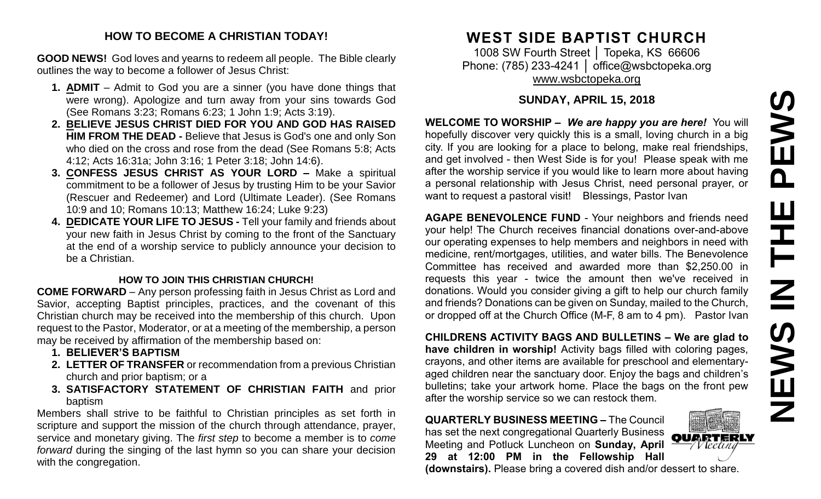#### **HOW TO BECOME A CHRISTIAN TODAY!**

**GOOD NEWS!** God loves and yearns to redeem all people. The Bible clearly outlines the way to become a follower of Jesus Christ:

- **1. ADMIT** Admit to God you are a sinner (you have done things that were wrong). Apologize and turn away from your sins towards God (See Romans 3:23; Romans 6:23; 1 John 1:9; Acts 3:19).
- **2. BELIEVE JESUS CHRIST DIED FOR YOU AND GOD HAS RAISED HIM FROM THE DEAD -** Believe that Jesus is God's one and only Son who died on the cross and rose from the dead (See Romans 5:8; Acts 4:12; Acts 16:31a; John 3:16; 1 Peter 3:18; John 14:6).
- **3. CONFESS JESUS CHRIST AS YOUR LORD –** Make a spiritual commitment to be a follower of Jesus by trusting Him to be your Savior (Rescuer and Redeemer) and Lord (Ultimate Leader). (See Romans 10:9 and 10; Romans 10:13; Matthew 16:24; Luke 9:23)
- **4. DEDICATE YOUR LIFE TO JESUS -** Tell your family and friends about your new faith in Jesus Christ by coming to the front of the Sanctuary at the end of a worship service to publicly announce your decision to be a Christian.

#### **HOW TO JOIN THIS CHRISTIAN CHURCH!**

**COME FORWARD** – Any person professing faith in Jesus Christ as Lord and Savior, accepting Baptist principles, practices, and the covenant of this Christian church may be received into the membership of this church. Upon request to the Pastor, Moderator, or at a meeting of the membership, a person may be received by affirmation of the membership based on:

- **1. BELIEVER'S BAPTISM**
- **2. LETTER OF TRANSFER** or recommendation from a previous Christian church and prior baptism; or a
- **3. SATISFACTORY STATEMENT OF CHRISTIAN FAITH** and prior baptism

Members shall strive to be faithful to Christian principles as set forth in scripture and support the mission of the church through attendance, prayer, service and monetary giving. The *first step* to become a member is to *come forward* during the singing of the last hymn so you can share your decision with the congregation.

# **WEST SIDE BAPTIST CHURCH**

1008 SW Fourth Street | Topeka, KS 66606 Phone: (785) 233-4241 │ [office@wsbctopeka.org](mailto:office@wsbctopeka.org) [www.wsbctopeka.org](http://www.wsbctopeka.org/)

## **SUNDAY, APRIL 15, 2018**

**WELCOME TO WORSHIP –** *We are happy you are here!* You will hopefully discover very quickly this is a small, loving church in a big city. If you are looking for a place to belong, make real friendships, and get involved - then West Side is for you! Please speak with me after the worship service if you would like to learn more about having a personal relationship with Jesus Christ, need personal prayer, or want to request a pastoral visit! Blessings, Pastor Ivan

**AGAPE BENEVOLENCE FUND** - Your neighbors and friends need your help! The Church receives financial donations over-and-above our operating expenses to help members and neighbors in need with medicine, rent/mortgages, utilities, and water bills. The Benevolence Committee has received and awarded more than \$2,250.00 in requests this year - twice the amount then we've received in donations. Would you consider giving a gift to help our church family and friends? Donations can be given on Sunday, mailed to the Church, or dropped off at the Church Office (M-F, 8 am to 4 pm). Pastor Ivan

**CHILDRENS ACTIVITY BAGS AND BULLETINS – We are glad to have children in worship!** Activity bags filled with coloring pages, crayons, and other items are available for preschool and elementaryaged children near the sanctuary door. Enjoy the bags and children's bulletins; take your artwork home. Place the bags on the front pew after the worship service so we can restock them.

**QUARTERLY BUSINESS MEETING –** The Council has set the next congregational Quarterly Business OUARTERI Meeting and Potluck Luncheon on **Sunday, April 29 at 12:00 PM in the Fellowship Hall (downstairs).** Please bring a covered dish and/or dessert to share.

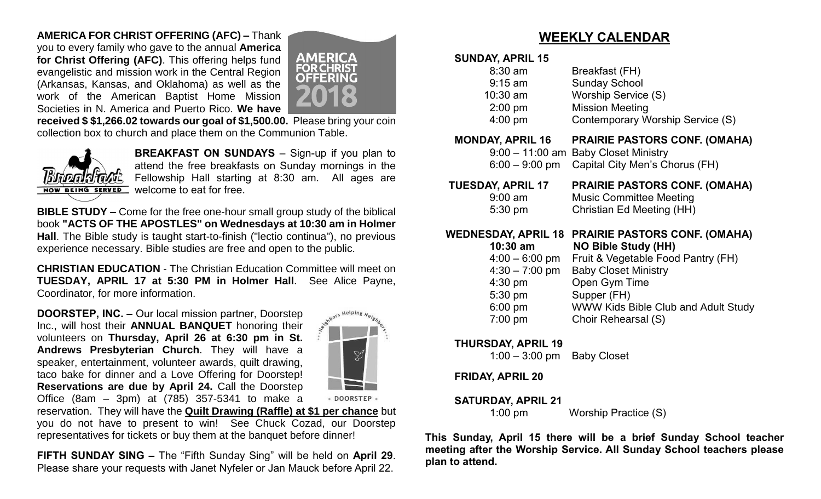## **AMERICA FOR CHRIST OFFERING (AFC) –** Thank

you to every family who gave to the annual **America for Christ Offering (AFC)**. This offering helps fund evangelistic and mission work in the Central Region (Arkansas, Kansas, and Oklahoma) as well as the work of the American Baptist Home Mission Societies in N. America and Puerto Rico. **We have** 



**received \$ \$1,266.02 towards our goal of \$1,500.00.** Please bring your coin collection box to church and place them on the Communion Table.



**BREAKFAST ON SUNDAYS** – Sign-up if you plan to attend the free breakfasts on Sunday mornings in the Fellowship Hall starting at 8:30 am. All ages are welcome to eat for free.

**BIBLE STUDY –** Come for the free one-hour small group study of the biblical book **"ACTS OF THE APOSTLES" on Wednesdays at 10:30 am in Holmer Hall**. The Bible study is taught start-to-finish ("lectio continua"), no previous experience necessary. Bible studies are free and open to the public.

**CHRISTIAN EDUCATION** - The Christian Education Committee will meet on **TUESDAY, APRIL 17 at 5:30 PM in Holmer Hall**. See Alice Payne, Coordinator, for more information.

**DOORSTEP, INC. –** Our local mission partner, Doorstep Inc., will host their **ANNUAL BANQUET** honoring their volunteers on **Thursday, April 26 at 6:30 pm in St. Andrews Presbyterian Church**. They will have a speaker, entertainment, volunteer awards, quilt drawing, taco bake for dinner and a Love Offering for Doorstep! **Reservations are due by April 24.** Call the Doorstep Office (8am – 3pm) at (785) 357-5341 to make a



· DOORSTEP ·

reservation. They will have the **Quilt Drawing (Raffle) at \$1 per chance** but you do not have to present to win! See Chuck Cozad, our Doorstep representatives for tickets or buy them at the banquet before dinner!

**FIFTH SUNDAY SING –** The "Fifth Sunday Sing" will be held on **April 29**. Please share your requests with Janet Nyfeler or Jan Mauck before April 22.

## **WEEKLY CALENDAR**

#### **SUNDAY, APRIL 15**

| $8:30$ am  | Breakfast (FH)                   |
|------------|----------------------------------|
| $9:15$ am  | <b>Sunday School</b>             |
| $10:30$ am | Worship Service (S)              |
| $2:00$ pm  | <b>Mission Meeting</b>           |
| $4:00$ pm  | Contemporary Worship Service (S) |
|            |                                  |

## **MONDAY, APRIL 16 PRAIRIE PASTORS CONF. (OMAHA)** 9:00 – 11:00 am Baby Closet Ministry 6:00 – 9:00 pm Capital City Men's Chorus (FH)

 **TUESDAY, APRIL 17 PRAIRIE PASTORS CONF. (OMAHA)** 9:00 am Music Committee Meeting 5:30 pm Christian Ed Meeting (HH)

## **WEDNESDAY, APRIL 18 PRAIRIE PASTORS CONF. (OMAHA)**

| $10:30$ am       | <b>NO Bible Study (HH)</b>                 |
|------------------|--------------------------------------------|
| $4:00 - 6:00$ pm | Fruit & Vegetable Food Pantry (FH)         |
| $4:30 - 7:00$ pm | <b>Baby Closet Ministry</b>                |
| $4:30$ pm        | Open Gym Time                              |
| 5:30 pm          | Supper (FH)                                |
| 6:00 pm          | <b>WWW Kids Bible Club and Adult Study</b> |
| 7:00 pm          | Choir Rehearsal (S)                        |
|                  |                                            |

### **THURSDAY, APRIL 19**

1:00 – 3:00 pm Baby Closet

### **FRIDAY, APRIL 20**

#### **SATURDAY, APRIL 21**

1:00 pmWorship Practice (S)

**This Sunday, April 15 there will be a brief Sunday School teacher meeting after the Worship Service. All Sunday School teachers please plan to attend.**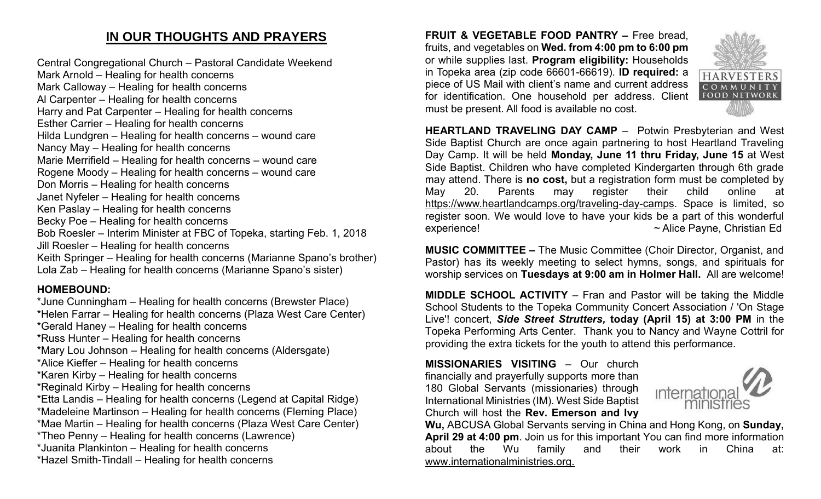# **IN OUR THOUGHTS AND PRAYERS**

Central Congregational Church – Pastoral Candidate Weekend Mark Arnold – Healing for health concerns Mark Calloway – Healing for health concerns Al Carpenter – Healing for health concerns Harry and Pat Carpenter – Healing for health concerns Esther Carrier – Healing for health concerns Hilda Lundgren – Healing for health concerns – wound care Nancy May – Healing for health concerns Marie Merrifield – Healing for health concerns – wound care Rogene Moody – Healing for health concerns – wound care Don Morris – Healing for health concerns Janet Nyfeler – Healing for health concerns Ken Paslay – Healing for health concerns Becky Poe – Healing for health concerns Bob Roesler – Interim Minister at FBC of Topeka, starting Feb. 1, 2018 Jill Roesler – Healing for health concerns Keith Springer – Healing for health concerns (Marianne Spano's brother) Lola Zab – Healing for health concerns (Marianne Spano's sister)

## **HOMEBOUND:**

\*June Cunningham – Healing for health concerns (Brewster Place) \*Helen Farrar – Healing for health concerns (Plaza West Care Center) \*Gerald Haney – Healing for health concerns \*Russ Hunter – Healing for health concerns \*Mary Lou Johnson – Healing for health concerns (Aldersgate) \*Alice Kieffer – Healing for health concerns \*Karen Kirby – Healing for health concerns \*Reginald Kirby – Healing for health concerns \*Etta Landis – Healing for health concerns (Legend at Capital Ridge) \*Madeleine Martinson – Healing for health concerns (Fleming Place) \*Mae Martin – Healing for health concerns (Plaza West Care Center) \*Theo Penny – Healing for health concerns (Lawrence) \*Juanita Plankinton – Healing for health concerns \*Hazel Smith-Tindall – Healing for health concerns

**FRUIT & VEGETABLE FOOD PANTRY –** Free bread, fruits, and vegetables on **Wed. from 4:00 pm to 6:00 pm**  or while supplies last. **Program eligibility:** Households in Topeka area (zip code 66601-66619). **ID required:** a piece of US Mail with client's name and current address for identification. One household per address. Client must be present. All food is available no cost.



**MUSIC COMMITTEE –** The Music Committee (Choir Director, Organist, and Pastor) has its weekly meeting to select hymns, songs, and spirituals for worship services on **Tuesdays at 9:00 am in Holmer Hall.** All are welcome!

**MIDDLE SCHOOL ACTIVITY** – Fran and Pastor will be taking the Middle School Students to the Topeka Community Concert Association / 'On Stage Live'! concert, *Side Street Strutters,* **today (April 15) at 3:00 PM** in the Topeka Performing Arts Center. Thank you to Nancy and Wayne Cottril for providing the extra tickets for the youth to attend this performance.

**MISSIONARIES VISITING** – Our church financially and prayerfully supports more than 180 Global Servants (missionaries) through International Ministries (IM). West Side Baptist Church will host the **Rev. Emerson and Ivy** 



**HARVESTERS** COMMIN **FOOD NETWORK** 

**Wu,** ABCUSA Global Servants serving in China and Hong Kong, on **Sunday, April 29 at 4:00 pm**. Join us for this important You can find more information about the Wu family and their work in China at: www.internationalministries.org.